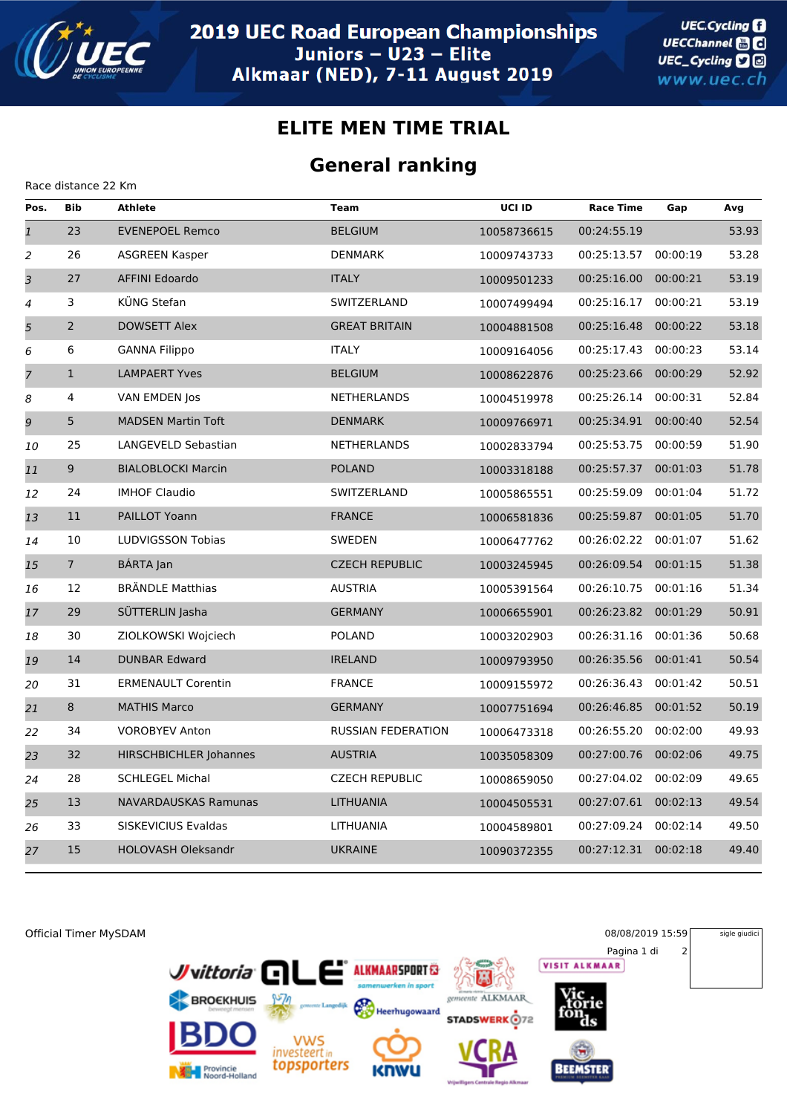

Race distance 22 Km

## **ELITE MEN TIME TRIAL**

## **General ranking**

| Pos.           | <b>Bib</b>     | <b>Athlete</b>            | <b>Team</b>               | UCI ID      | <b>Race Time</b>     | Gap      | Avg   |
|----------------|----------------|---------------------------|---------------------------|-------------|----------------------|----------|-------|
| $\mathbf{1}$   | 23             | <b>EVENEPOEL Remco</b>    | <b>BELGIUM</b>            | 10058736615 | 00:24:55.19          |          | 53.93 |
| $\overline{c}$ | 26             | ASGREEN Kasper            | DENMARK                   | 10009743733 | 00:25:13.57          | 00:00:19 | 53.28 |
| $\overline{3}$ | 27             | <b>AFFINI Edoardo</b>     | <b>ITALY</b>              | 10009501233 | 00:25:16.00          | 00:00:21 | 53.19 |
| 4              | 3              | KÜNG Stefan               | SWITZERLAND               | 10007499494 | 00:25:16.17          | 00:00:21 | 53.19 |
| 5              | $\overline{2}$ | <b>DOWSETT Alex</b>       | <b>GREAT BRITAIN</b>      | 10004881508 | 00:25:16.48          | 00:00:22 | 53.18 |
| 6              | 6              | <b>GANNA Filippo</b>      | <b>ITALY</b>              | 10009164056 | 00:25:17.43          | 00:00:23 | 53.14 |
| $\overline{7}$ | $\mathbf{1}$   | <b>LAMPAERT Yves</b>      | <b>BELGIUM</b>            | 10008622876 | 00:25:23.66          | 00:00:29 | 52.92 |
| 8              | 4              | VAN EMDEN Jos             | <b>NETHERLANDS</b>        | 10004519978 | 00:25:26.14          | 00:00:31 | 52.84 |
| 9              | 5              | <b>MADSEN Martin Toft</b> | <b>DENMARK</b>            | 10009766971 | 00:25:34.91          | 00:00:40 | 52.54 |
| 10             | 25             | LANGEVELD Sebastian       | <b>NETHERLANDS</b>        | 10002833794 | 00:25:53.75          | 00:00:59 | 51.90 |
| 11             | 9              | <b>BIALOBLOCKI Marcin</b> | <b>POLAND</b>             | 10003318188 | 00:25:57.37          | 00:01:03 | 51.78 |
| 12             | 24             | <b>IMHOF Claudio</b>      | SWITZERLAND               | 10005865551 | 00:25:59.09          | 00:01:04 | 51.72 |
| 13             | 11             | <b>PAILLOT Yoann</b>      | <b>FRANCE</b>             | 10006581836 | 00:25:59.87          | 00:01:05 | 51.70 |
| 14             | 10             | LUDVIGSSON Tobias         | SWEDEN                    | 10006477762 | 00:26:02.22          | 00:01:07 | 51.62 |
| 15             | 7 <sup>7</sup> | BÁRTA Jan                 | <b>CZECH REPUBLIC</b>     | 10003245945 | 00:26:09.54          | 00:01:15 | 51.38 |
| 16             | 12             | <b>BRÄNDLE Matthias</b>   | <b>AUSTRIA</b>            | 10005391564 | 00:26:10.75          | 00:01:16 | 51.34 |
| 17             | 29             | SÜTTERLIN Jasha           | <b>GERMANY</b>            | 10006655901 | 00:26:23.82          | 00:01:29 | 50.91 |
| 18             | 30             | ZIOLKOWSKI Wojciech       | <b>POLAND</b>             | 10003202903 | 00:26:31.16          | 00:01:36 | 50.68 |
| 19             | 14             | <b>DUNBAR Edward</b>      | <b>IRELAND</b>            | 10009793950 | 00:26:35.56          | 00:01:41 | 50.54 |
| 20             | 31             | <b>ERMENAULT Corentin</b> | <b>FRANCE</b>             | 10009155972 | 00:26:36.43          | 00:01:42 | 50.51 |
| 21             | 8              | <b>MATHIS Marco</b>       | <b>GERMANY</b>            | 10007751694 | 00:26:46.85          | 00:01:52 | 50.19 |
| 22             | 34             | <b>VOROBYEV Anton</b>     | <b>RUSSIAN FEDERATION</b> | 10006473318 | 00:26:55.20          | 00:02:00 | 49.93 |
| 23             | 32             | HIRSCHBICHLER Johannes    | <b>AUSTRIA</b>            | 10035058309 | 00:27:00.76          | 00:02:06 | 49.75 |
| 24             | 28             | <b>SCHLEGEL Michal</b>    | <b>CZECH REPUBLIC</b>     | 10008659050 | 00:27:04.02          | 00:02:09 | 49.65 |
| 25             | 13             | NAVARDAUSKAS Ramunas      | LITHUANIA                 | 10004505531 | 00:27:07.61          | 00:02:13 | 49.54 |
| 26             | 33             | SISKEVICIUS Evaldas       | LITHUANIA                 | 10004589801 | 00:27:09.24          | 00:02:14 | 49.50 |
| 27             | 15             | <b>HOLOVASH Oleksandr</b> | <b>UKRAINE</b>            | 10090372355 | 00:27:12.31 00:02:18 |          | 49.40 |
|                |                |                           |                           |             |                      |          |       |